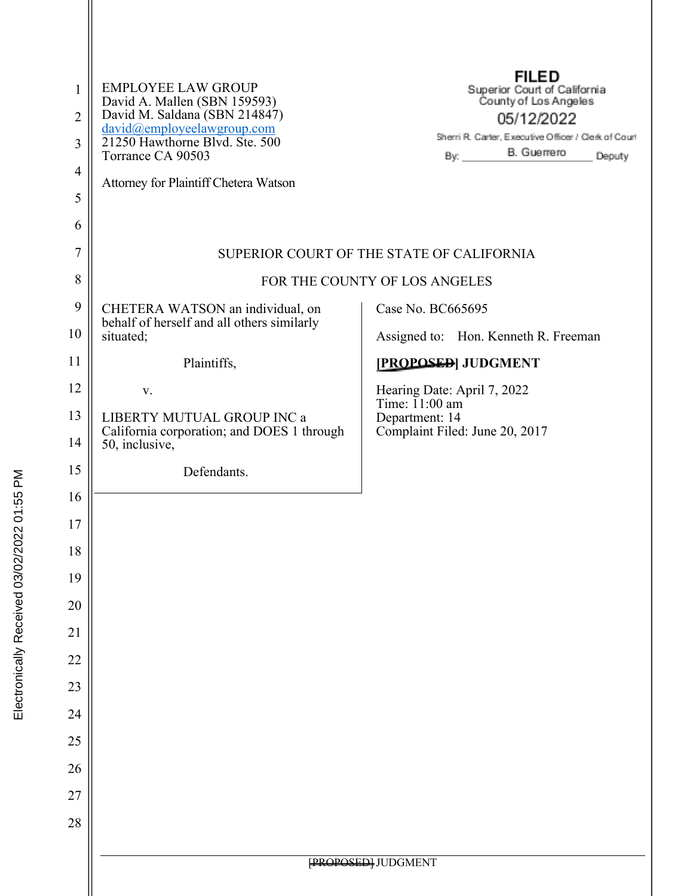| $\mathbf{1}$   | <b>EMPLOYEE LAW GROUP</b>                                                         | <b>FILED</b><br>Superior Court of California<br>County of Los Angeles      |
|----------------|-----------------------------------------------------------------------------------|----------------------------------------------------------------------------|
| 2              | David A. Mallen (SBN 159593)<br>David M. Saldana (SBN 214847)                     | 05/12/2022                                                                 |
| 3              | david@employeelawgroup.com<br>21250 Hawthorne Blvd. Ste. 500<br>Torrance CA 90503 | Sherri R. Carter, Executive Officer / Clerk of Court<br>B. Guerrero<br>By: |
| $\overline{4}$ | Attorney for Plaintiff Chetera Watson                                             | Deputy                                                                     |
| 5              |                                                                                   |                                                                            |
| 6              |                                                                                   |                                                                            |
| $\tau$         |                                                                                   | SUPERIOR COURT OF THE STATE OF CALIFORNIA                                  |
| 8              | FOR THE COUNTY OF LOS ANGELES                                                     |                                                                            |
| 9              | CHETERA WATSON an individual, on<br>behalf of herself and all others similarly    | Case No. BC665695                                                          |
| 10             | situated;                                                                         | Assigned to: Hon. Kenneth R. Freeman                                       |
| 11             | Plaintiffs,                                                                       | [PROPOSED] JUDGMENT                                                        |
| 12             | V.                                                                                | Hearing Date: April 7, 2022<br>Time: $11:00$ am                            |
| 13             | LIBERTY MUTUAL GROUP INC a<br>California corporation; and DOES 1 through          | Department: 14<br>Complaint Filed: June 20, 2017                           |
| 14             | 50, inclusive,                                                                    |                                                                            |
| 15             | Defendants.                                                                       |                                                                            |
| 16             |                                                                                   |                                                                            |
| 17             |                                                                                   |                                                                            |
| 18             |                                                                                   |                                                                            |
| 19             |                                                                                   |                                                                            |
| 20             |                                                                                   |                                                                            |
| 21             |                                                                                   |                                                                            |
| 22             |                                                                                   |                                                                            |
| 23             |                                                                                   |                                                                            |
| 24             |                                                                                   |                                                                            |
| 25<br>26       |                                                                                   |                                                                            |
| 27             |                                                                                   |                                                                            |
| 28             |                                                                                   |                                                                            |
|                |                                                                                   |                                                                            |
|                | <b>PROPOSED</b> JUDGMENT                                                          |                                                                            |
|                |                                                                                   |                                                                            |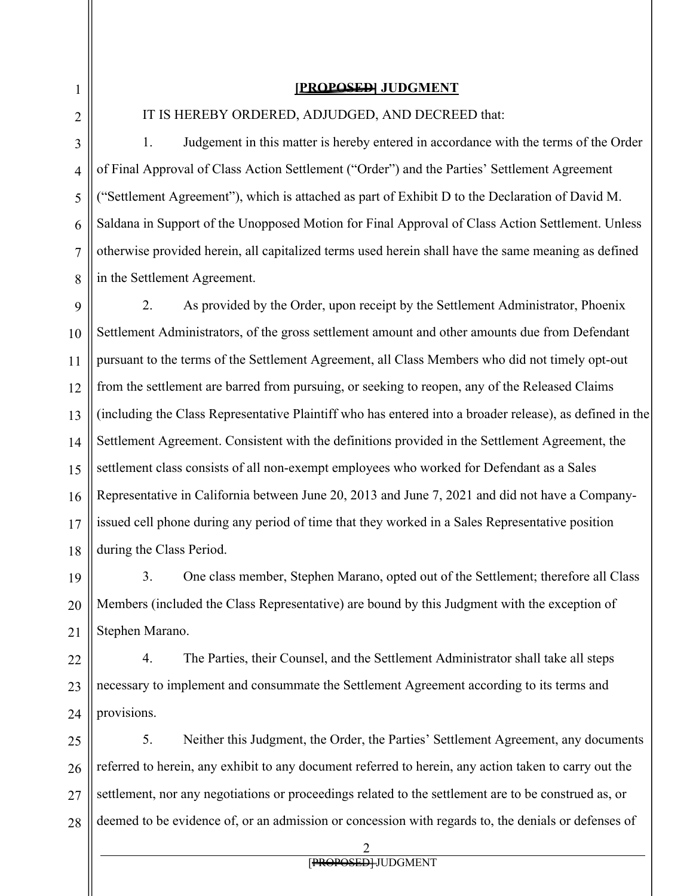## **[PROPOSED] JUDGMENT**

1

2

IT IS HEREBY ORDERED, ADJUDGED, AND DECREED that:

3 4 5 6 7 8 1. Judgement in this matter is hereby entered in accordance with the terms of the Order of Final Approval of Class Action Settlement ("Order") and the Parties' Settlement Agreement ("Settlement Agreement"), which is attached as part of Exhibit D to the Declaration of David M. Saldana in Support of the Unopposed Motion for Final Approval of Class Action Settlement. Unless otherwise provided herein, all capitalized terms used herein shall have the same meaning as defined in the Settlement Agreement.

9 10 11 12 13 14 15 16 17 18 2. As provided by the Order, upon receipt by the Settlement Administrator, Phoenix Settlement Administrators, of the gross settlement amount and other amounts due from Defendant pursuant to the terms of the Settlement Agreement, all Class Members who did not timely opt-out from the settlement are barred from pursuing, or seeking to reopen, any of the Released Claims (including the Class Representative Plaintiff who has entered into a broader release), as defined in the Settlement Agreement. Consistent with the definitions provided in the Settlement Agreement, the settlement class consists of all non-exempt employees who worked for Defendant as a Sales Representative in California between June 20, 2013 and June 7, 2021 and did not have a Companyissued cell phone during any period of time that they worked in a Sales Representative position during the Class Period.

19 20 21 3. One class member, Stephen Marano, opted out of the Settlement; therefore all Class Members (included the Class Representative) are bound by this Judgment with the exception of Stephen Marano.

22 23 24 4. The Parties, their Counsel, and the Settlement Administrator shall take all steps necessary to implement and consummate the Settlement Agreement according to its terms and provisions.

25 26 27 28 5. Neither this Judgment, the Order, the Parties' Settlement Agreement, any documents referred to herein, any exhibit to any document referred to herein, any action taken to carry out the settlement, nor any negotiations or proceedings related to the settlement are to be construed as, or deemed to be evidence of, or an admission or concession with regards to, the denials or defenses of

2